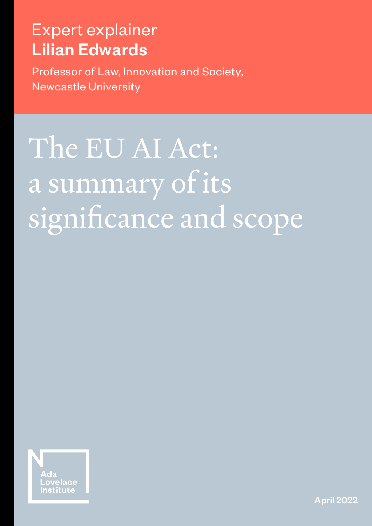# Expert explainer Lilian Edwards

Professor of Law, Innovation and Society, Newcastle University

# The EU AI Act: a summary of its significance and scope



April 2022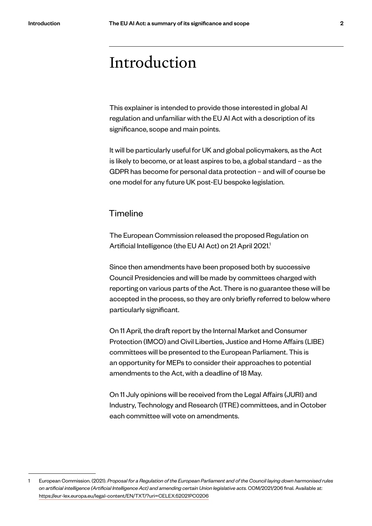### Introduction

This explainer is intended to provide those interested in global AI regulation and unfamiliar with the EU AI Act with a description of its significance, scope and main points.

It will be particularly useful for UK and global policymakers, as the Act is likely to become, or at least aspires to be, a global standard – as the GDPR has become for personal data protection – and will of course be one model for any future UK post-EU bespoke legislation.

#### **Timeline**

The European Commission released the proposed Regulation on Artificial Intelligence (the EU AI Act) on 21 April 2021.<sup>1</sup>

Since then amendments have been proposed both by successive Council Presidencies and will be made by committees charged with reporting on various parts of the Act. There is no guarantee these will be accepted in the process, so they are only briefly referred to below where particularly significant.

On 11 April, the draft report by the Internal Market and Consumer Protection (IMCO) and Civil Liberties, Justice and Home Affairs (LIBE) committees will be presented to the European Parliament. This is an opportunity for MEPs to consider their approaches to potential amendments to the Act, with a deadline of 18 May.

On 11 July opinions will be received from the Legal Affairs (JURI) and Industry, Technology and Research (ITRE) committees, and in October each committee will vote on amendments.

<sup>1</sup> European Commission. (2021). *Proposal for a Regulation of the European Parliament and of the Council laying down harmonised rules on artificial intelligence (Artificial Intelligence Act) and amending certain Union legislative acts.* COM/2021/206 final. Available at: https://eur-lex.europa.eu/legal-content/EN/TXT/?uri=CELEX:52021PC0206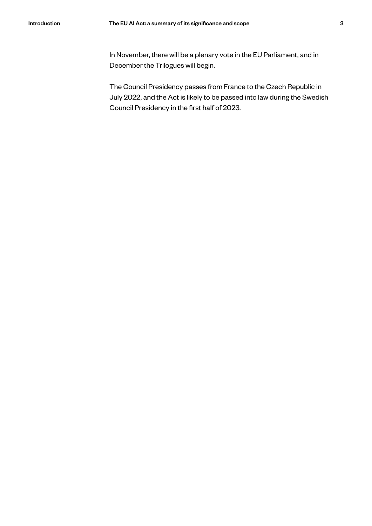In November, there will be a plenary vote in the EU Parliament, and in December the Trilogues will begin.

The Council Presidency passes from France to the Czech Republic in July 2022, and the Act is likely to be passed into law during the Swedish Council Presidency in the first half of 2023.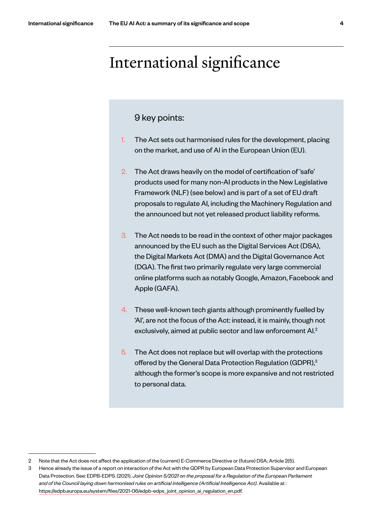### International significance

#### 9 key points:

- 1. The Act sets out harmonised rules for the development, placing on the market, and use of AI in the European Union (EU).
- 2. The Act draws heavily on the model of certification of 'safe' products used for many non-AI products in the New Legislative Framework (NLF) (see below) and is part of a set of EU draft proposals to regulate AI, including the Machinery Regulation and the announced but not yet released product liability reforms.
- 3. The Act needs to be read in the context of other major packages announced by the EU such as the Digital Services Act (DSA), the Digital Markets Act (DMA) and the Digital Governance Act (DGA). The first two primarily regulate very large commercial online platforms such as notably Google, Amazon, Facebook and Apple (GAFA).
- 4. These well-known tech giants although prominently fuelled by 'AI', are not the focus of the Act: instead, it is mainly, though not exclusively, aimed at public sector and law enforcement Al.<sup>2</sup>
- 5. The Act does not replace but will overlap with the protections offered by the General Data Protection Regulation (GDPR),<sup>3</sup> although the former's scope is more expansive and not restricted to personal data.

<sup>2</sup> Note that the Act does not affect the application of the (current) E-Commerce Directive or (future) DSA; Article 2(5).

<sup>3</sup> Hence already the issue of a report on interaction of the Act with the GDPR by European Data Protection Supervisor and European Data Protection. See: EDPB-EDPS. (2021). *Joint Opinion 5/2021 on the proposal for a Regulation of the European Parliament and of the Council laying down harmonised rules on artificial intelligence (Artificial Intelligence Act)*. Available at : https://edpb.europa.eu/system/files/2021-06/edpb-edps\_ joint\_opinion\_ai\_regulation\_en.pdf.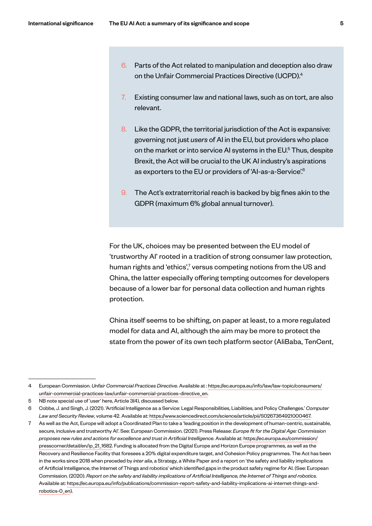- 6. Parts of the Act related to manipulation and deception also draw on the Unfair Commercial Practices Directive (UCPD).4  $\vdots$
- 7. Existing consumer law and national laws, such as on tort, are also relevant.
- 8. Like the GDPR, the territorial jurisdiction of the Act is expansive: governing not just *users* of AI in the EU, but providers who place on the market or into service AI systems in the EU.<sup>5</sup> Thus, despite Brexit, the Act will be crucial to the UK AI industry's aspirations as exporters to the EU or providers of 'AI-as-a-Service'.6
- 9. The Act's extraterritorial reach is backed by big fines akin to the GDPR (maximum 6% global annual turnover).

For the UK, choices may be presented between the EU model of 'trustworthy AI' rooted in a tradition of strong consumer law protection, human rights and 'ethics',<sup>7</sup> versus competing notions from the US and China, the latter especially offering tempting outcomes for developers because of a lower bar for personal data collection and human rights protection.

China itself seems to be shifting, on paper at least, to a more regulated model for data and AI, although the aim may be more to protect the state from the power of its own tech platform sector (AliBaba, TenCent,

<sup>4</sup> European Commission. *Unfair Commercial Practices Directive*. Available at : https://ec.europa.eu/info/law/law-topic/consumers/ unfair-commercial-practices-law/unfair-commercial-practices-directive\_en.

<sup>5</sup> NB note special use of 'user' here, Article 3(4), discussed below.

<sup>6</sup> Cobbe, J. and Singh, J. (2021). 'Artificial Intelligence as a Service: Legal Responsibilities, Liabilities, and Policy Challenges.' *Computer Law and Security Review*, volume 42. Available at: https://www.sciencedirect.com/science/article/pii/S0267364921000467.

<sup>7</sup> As well as the Act, Europe will adopt a Coordinated Plan to take a 'leading position in the development of human-centric, sustainable, secure, inclusive and trustworthy AI'. See: European Commission. (2021). Press Release: *Europe fit for the Digital Age: Commission proposes new rules and actions for excellence and trust in Artificial Intelligence*. Available at: https://ec.europa.eu/commission/ presscorner/detail/en/ip\_21\_1682. Funding is allocated from the Digital Europe and Horizon Europe programmes, as well as the Recovery and Resilience Facility that foresees a 20% digital expenditure target, and Cohesion Policy programmes. The Act has been in the works since 2018 when preceded by *inter alia*, a Strategy, a White Paper and a report on 'the safety and liability implications of Artificial Intelligence, the Internet of Things and robotics' which identified gaps in the product safety regime for AI. (See: European Commission. (2020). *Report on the safety and liability implications of Artificial Intelligence, the Internet of Things and robotics.*  Available at: https://ec.europa.eu/info/publications/commission-report-safety-and-liability-implications-ai-internet-things-androbotics-0\_en).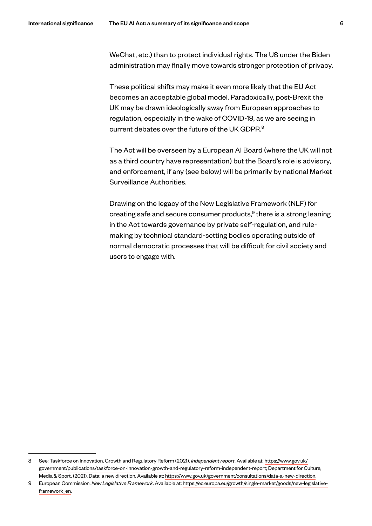WeChat, etc.) than to protect individual rights. The US under the Biden administration may finally move towards stronger protection of privacy.

These political shifts may make it even more likely that the EU Act becomes an acceptable global model. Paradoxically, post-Brexit the UK may be drawn ideologically away from European approaches to regulation, especially in the wake of COVID-19, as we are seeing in current debates over the future of the UK GDPR.<sup>8</sup>

The Act will be overseen by a European AI Board (where the UK will not as a third country have representation) but the Board's role is advisory, and enforcement, if any (see below) will be primarily by national Market Surveillance Authorities.

Drawing on the legacy of the New Legislative Framework (NLF) for creating safe and secure consumer products, $9$  there is a strong leaning in the Act towards governance by private self-regulation, and rulemaking by technical standard-setting bodies operating outside of normal democratic processes that will be difficult for civil society and users to engage with.

<sup>8</sup> See: Taskforce on Innovation, Growth and Regulatory Reform (2021). *Independent report*. Available at: https://www.gov.uk/ government/publications/taskforce-on-innovation-growth-and-regulatory-reform-independent-report; Department for Culture, Media & Sport. (2021). Data: a new direction. Available at: https://www.gov.uk/government/consultations/data-a-new-direction.

<sup>9</sup> European Commission. *New Legislative Framework*. Available at: https://ec.europa.eu/growth/single-market/goods/new-legislativeframework\_en.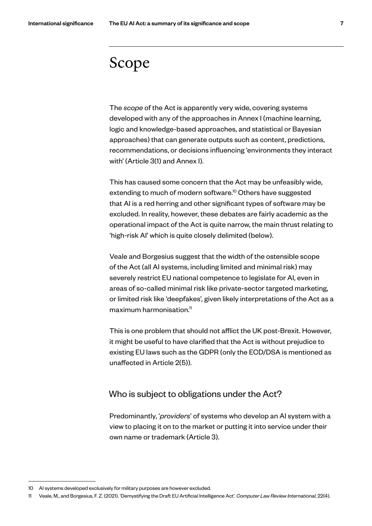### Scope

The *scope* of the Act is apparently very wide, covering systems developed with any of the approaches in Annex I (machine learning, logic and knowledge-based approaches, and statistical or Bayesian approaches) that can generate outputs such as content, predictions, recommendations, or decisions influencing 'environments they interact with' (Article 3(1) and Annex I).

This has caused some concern that the Act may be unfeasibly wide, extending to much of modern software.<sup>10</sup> Others have suggested that AI is a red herring and other significant types of software may be excluded. In reality, however, these debates are fairly academic as the operational impact of the Act is quite narrow, the main thrust relating to 'high-risk AI' which is quite closely delimited (below).

Veale and Borgesius suggest that the width of the ostensible scope of the Act (all AI systems, including limited and minimal risk) may severely restrict EU national competence to legislate for AI, even in areas of so-called minimal risk like private-sector targeted marketing, or limited risk like 'deepfakes', given likely interpretations of the Act as a maximum harmonisation.<sup>11</sup>

This is one problem that should not afflict the UK post-Brexit. However, it might be useful to have clarified that the Act is without prejudice to existing EU laws such as the GDPR (only the ECD/DSA is mentioned as unaffected in Article 2(5)).

#### Who is subject to obligations under the Act?

Predominantly, '*providers*' of systems who develop an AI system with a view to placing it on to the market or putting it into service under their own name or trademark (Article 3).

<sup>10</sup> AI systems developed exclusively for military purposes are however excluded.

<sup>11</sup> Veale, M., and Borgesius, F. Z. (2021). 'Demystifying the Draft EU Artificial Intelligence Act'. *Computer Law Review International*, 22(4).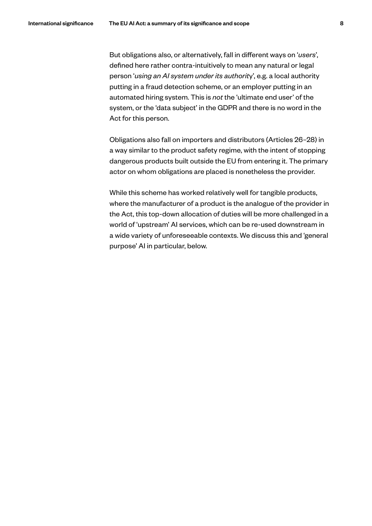But obligations also, or alternatively, fall in different ways on '*users*', defined here rather contra-intuitively to mean any natural or legal person '*using an AI system under its authorit*y', e.g. a local authority putting in a fraud detection scheme, or an employer putting in an automated hiring system. This is *not* the 'ultimate end user' of the system, or the 'data subject' in the GDPR and there is no word in the Act for this person.

Obligations also fall on importers and distributors (Articles 26–28) in a way similar to the product safety regime, with the intent of stopping dangerous products built outside the EU from entering it. The primary actor on whom obligations are placed is nonetheless the provider.

While this scheme has worked relatively well for tangible products, where the manufacturer of a product is the analogue of the provider in the Act, this top-down allocation of duties will be more challenged in a world of 'upstream' AI services, which can be re-used downstream in a wide variety of unforeseeable contexts. We discuss this and 'general purpose' AI in particular, below.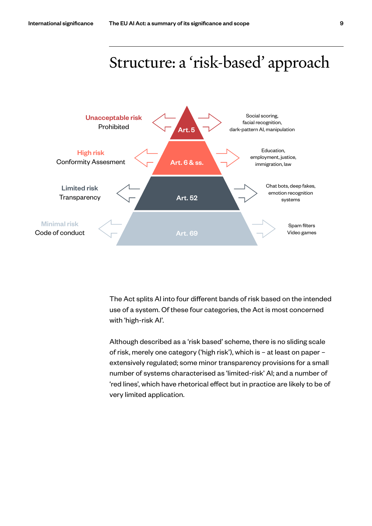

The Act splits AI into four different bands of risk based on the intended use of a system. Of these four categories, the Act is most concerned with 'high-risk AI'.

Although described as a 'risk based' scheme, there is no sliding scale of risk, merely one category ('high risk'), which is – at least on paper – extensively regulated; some minor transparency provisions for a small number of systems characterised as 'limited-risk' AI; and a number of 'red lines', which have rhetorical effect but in practice are likely to be of very limited application.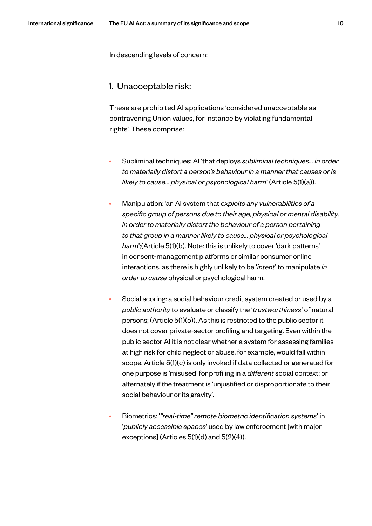In descending levels of concern:

#### 1. Unacceptable risk:

These are prohibited AI applications 'considered unacceptable as contravening Union values, for instance by violating fundamental rights'. These comprise:

- Subliminal techniques: AI 'that deploys *subliminal techniques… in order to materially distort a person's behaviour in a manner that causes or is likely to cause… physical or psychological harm*' (Article 5(1)(a)).
- Manipulation: 'an AI system that *exploits any vulnerabilities of a specific group of persons due to their age, physical or mental disability, in order to materially distort the behaviour of a person pertaining to that group in a manner likely to cause… physical or psychological harm*';(Article 5(1)(b). Note: this is unlikely to cover 'dark patterns' in consent-management platforms or similar consumer online interactions, as there is highly unlikely to be '*intent*' to manipulate *in order to cause* physical or psychological harm.
- Social scoring: a social behaviour credit system created or used by a *public authority* to evaluate or classify the '*trustworthiness*' of natural persons; (Article 5(1)(c)). As this is restricted to the public sector it does not cover private-sector profiling and targeting. Even within the public sector AI it is not clear whether a system for assessing families at high risk for child neglect or abuse, for example, would fall within scope. Article 5(1)(c) is only invoked if data collected or generated for one purpose is 'misused' for profiling in a *different* social context; or alternately if the treatment is 'unjustified or disproportionate to their social behaviour or its gravity'.
- Biometrics: '*"real-time" remote biometric identification systems*' in '*publicly accessible spaces*' used by law enforcement [with major exceptions] (Articles 5(1)(d) and 5(2)(4)).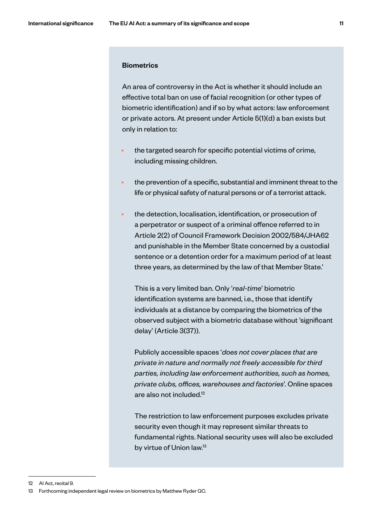#### **Biometrics**

An area of controversy in the Act is whether it should include an effective total ban on use of facial recognition (or other types of biometric identification) and if so by what actors: law enforcement or private actors. At present under Article 5(1)(d) a ban exists but only in relation to:

- the targeted search for specific potential victims of crime, including missing children.
- the prevention of a specific, substantial and imminent threat to the life or physical safety of natural persons or of a terrorist attack.
- the detection, localisation, identification, or prosecution of a perpetrator or suspect of a criminal offence referred to in Article 2(2) of Council Framework Decision 2002/584/JHA62 and punishable in the Member State concerned by a custodial sentence or a detention order for a maximum period of at least three years, as determined by the law of that Member State.'

This is a very limited ban. Only '*real-time*' biometric identification systems are banned, i.e., those that identify individuals at a distance by comparing the biometrics of the observed subject with a biometric database without 'significant delay' (Article 3(37)).

Publicly accessible spaces '*does not cover places that are private in nature and normally not freely accessible for third parties, including law enforcement authorities, such as homes, private clubs, offices, warehouses and factories*'. Online spaces are also not included.12

The restriction to law enforcement purposes excludes private security even though it may represent similar threats to fundamental rights. National security uses will also be excluded by virtue of Union law.<sup>13</sup>

<sup>12</sup> AI Act, recital 9.

<sup>13</sup> Forthcoming independent legal review on biometrics by Matthew Ryder QC.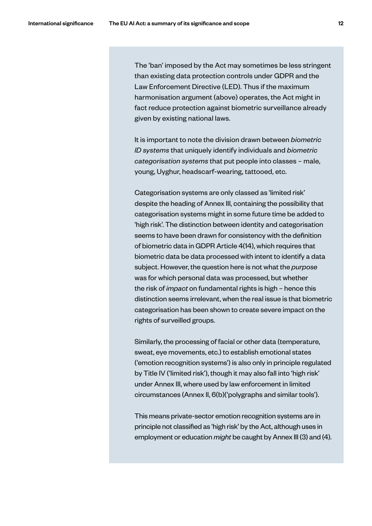The 'ban' imposed by the Act may sometimes be less stringent than existing data protection controls under GDPR and the Law Enforcement Directive (LED). Thus if the maximum harmonisation argument (above) operates, the Act might in fact reduce protection against biometric surveillance already given by existing national laws.

It is important to note the division drawn between *biometric ID systems* that uniquely identify individuals and *biometric categorisation systems* that put people into classes – male, young, Uyghur, headscarf-wearing, tattooed, etc.

Categorisation systems are only classed as 'limited risk' despite the heading of Annex III, containing the possibility that categorisation systems might in some future time be added to 'high risk'. The distinction between identity and categorisation seems to have been drawn for consistency with the definition of biometric data in GDPR Article 4(14), which requires that biometric data be data processed with intent to identify a data subject. However, the question here is not what the *purpose* was for which personal data was processed, but whether the risk of *impact* on fundamental rights is high – hence this distinction seems irrelevant, when the real issue is that biometric categorisation has been shown to create severe impact on the rights of surveilled groups.

Similarly, the processing of facial or other data (temperature, sweat, eye movements, etc.) to establish emotional states ('emotion recognition systems') is also only in principle regulated by Title IV ('limited risk'), though it may also fall into 'high risk' under Annex III, where used by law enforcement in limited circumstances (Annex II, 6(b)('polygraphs and similar tools').

This means private-sector emotion recognition systems are in principle not classified as 'high risk' by the Act, although uses in employment or education *might* be caught by Annex III (3) and (4).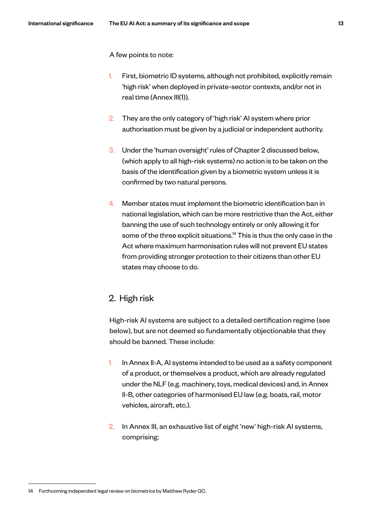A few points to note:

- 1. First, biometric ID systems, although not prohibited, explicitly remain 'high risk' when deployed in private-sector contexts, and/or not in real time (Annex III(1)).
- 2. They are the only category of 'high risk' AI system where prior authorisation must be given by a judicial or independent authority.
- 3. Under the 'human oversight' rules of Chapter 2 discussed below, (which apply to all high-risk systems) no action is to be taken on the basis of the identification given by a biometric system unless it is confirmed by two natural persons.
- 4. Member states must implement the biometric identification ban in national legislation, which can be more restrictive than the Act, either banning the use of such technology entirely or only allowing it for some of the three explicit situations.<sup>14</sup> This is thus the only case in the Act where maximum harmonisation rules will not prevent EU states from providing stronger protection to their citizens than other EU states may choose to do.

#### 2. High risk

High-risk AI systems are subject to a detailed certification regime (see below), but are not deemed so fundamentally objectionable that they should be banned. These include:

- 1. In Annex II-A, AI systems intended to be used as a safety component of a product, or themselves a product, which are already regulated under the NLF (e.g. machinery, toys, medical devices) and, in Annex II-B, other categories of harmonised EU law (e.g. boats, rail, motor vehicles, aircraft, etc.).
- 2. In Annex III, an exhaustive list of eight 'new' high-risk AI systems, comprising:

<sup>14</sup> Forthcoming independent legal review on biometrics by Matthew Ryder QC.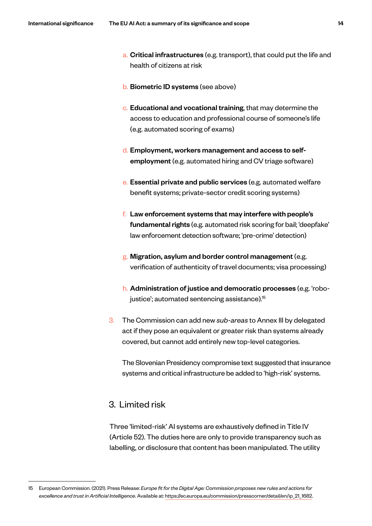- a. Critical infrastructures (e.g. transport), that could put the life and health of citizens at risk
- b. Biometric ID systems (see above)
- c. Educational and vocational training, that may determine the access to education and professional course of someone's life (e.g. automated scoring of exams)
- d. Employment, workers management and access to selfemployment (e.g. automated hiring and CV triage software)
- e. Essential private and public services (e.g. automated welfare benefit systems; private-sector credit scoring systems)
- $f<sub>i</sub>$  Law enforcement systems that may interfere with people's fundamental rights (e.g. automated risk scoring for bail; 'deepfake' law enforcement detection software; 'pre-crime' detection)
- g. Migration, asylum and border control management (e.g. verification of authenticity of travel documents; visa processing)
- h. Administration of justice and democratic processes (e.g. 'robojustice'; automated sentencing assistance).<sup>15</sup>
- 3. The Commission can add new *sub-areas* to Annex III by delegated act if they pose an equivalent or greater risk than systems already covered, but cannot add entirely new top-level categories.

The Slovenian Presidency compromise text suggested that insurance systems and critical infrastructure be added to 'high-risk' systems.

#### 3. Limited risk

Three 'limited-risk' AI systems are exhaustively defined in Title IV (Article 52). The duties here are only to provide transparency such as labelling, or disclosure that content has been manipulated. The utility

<sup>15</sup> European Commission. (2021). Press Release: *Europe fit for the Digital Age: Commission proposes new rules and actions for excellence and trust in Artificial Intelligence*. Available at: https://ec.europa.eu/commission/presscorner/detail/en/ip\_21\_1682.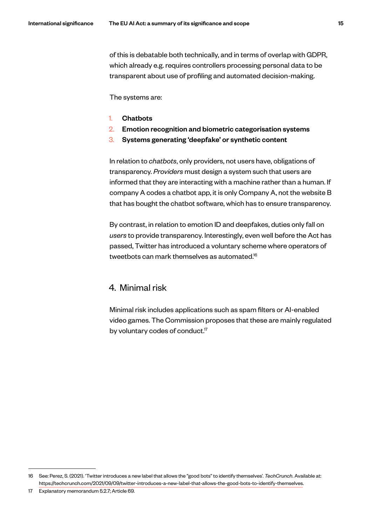of this is debatable both technically, and in terms of overlap with GDPR, which already e.g. requires controllers processing personal data to be transparent about use of profiling and automated decision-making.

The systems are:

- 1. Chatbots
- 2. Emotion recognition and biometric categorisation systems
- 3. Systems generating 'deepfake' or synthetic content

In relation to *chatbots*, only providers, not users have, obligations of transparency. *Providers* must design a system such that users are informed that they are interacting with a machine rather than a human. If company A codes a chatbot app, it is only Company A, not the website B that has bought the chatbot software, which has to ensure transparency.

By contrast, in relation to emotion ID and deepfakes, duties only fall on *users* to provide transparency. Interestingly, even well before the Act has passed, Twitter has introduced a voluntary scheme where operators of tweetbots can mark themselves as automated.16

#### 4. Minimal risk

Minimal risk includes applications such as spam filters or AI-enabled video games. The Commission proposes that these are mainly regulated by voluntary codes of conduct.<sup>17</sup>

<sup>16</sup> See: Perez, S. (2021). 'Twitter introduces a new label that allows the "good bots" to identify themselves'. *TechCrunch*. Available at: https://techcrunch.com/2021/09/09/twitter-introduces-a-new-label-that-allows-the-good-bots-to-identify-themselves.

<sup>17</sup> Explanatory memorandum 5.2.7; Article 69.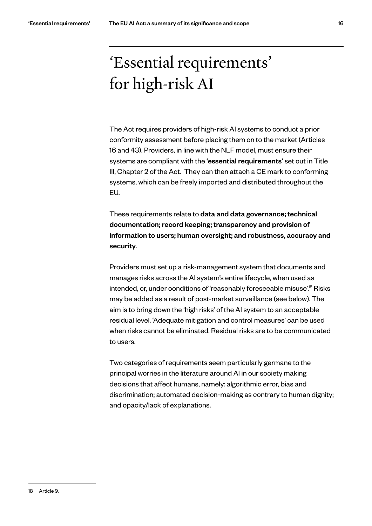## 'Essential requirements' for high-risk AI

The Act requires providers of high-risk AI systems to conduct a prior conformity assessment before placing them on to the market (Articles 16 and 43). Providers, in line with the NLF model, must ensure their systems are compliant with the 'essential requirements' set out in Title III, Chapter 2 of the Act. They can then attach a CE mark to conforming systems, which can be freely imported and distributed throughout the EU.

These requirements relate to data and data governance; technical documentation; record keeping; transparency and provision of information to users; human oversight; and robustness, accuracy and security.

Providers must set up a risk-management system that documents and manages risks across the AI system's entire lifecycle, when used as intended, or, under conditions of 'reasonably foreseeable misuse'.<sup>18</sup> Risks may be added as a result of post-market surveillance (see below). The aim is to bring down the 'high risks' of the AI system to an acceptable residual level. 'Adequate mitigation and control measures' can be used when risks cannot be eliminated. Residual risks are to be communicated to users.

Two categories of requirements seem particularly germane to the principal worries in the literature around AI in our society making decisions that affect humans, namely: algorithmic error, bias and discrimination; automated decision-making as contrary to human dignity; and opacity/lack of explanations.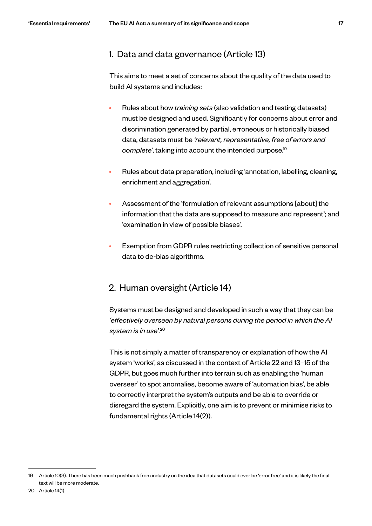#### 1. Data and data governance (Article 13)

This aims to meet a set of concerns about the quality of the data used to build AI systems and includes:

- Rules about how *training sets* (also validation and testing datasets) must be designed and used. Significantly for concerns about error and discrimination generated by partial, erroneous or historically biased data, datasets must be *'relevant, representative, free of errors and complete'*, taking into account the intended purpose.19
- Rules about data preparation, including 'annotation, labelling, cleaning, enrichment and aggregation'.
- Assessment of the 'formulation of relevant assumptions [about] the information that the data are supposed to measure and represent'; and 'examination in view of possible biases'.
- Exemption from GDPR rules restricting collection of sensitive personal data to de-bias algorithms.

#### 2. Human oversight (Article 14)

Systems must be designed and developed in such a way that they can be *'effectively overseen by natural persons during the period in which the AI system is in use'*. 20

This is not simply a matter of transparency or explanation of how the AI system 'works', as discussed in the context of Article 22 and 13–15 of the GDPR, but goes much further into terrain such as enabling the 'human overseer' to spot anomalies, become aware of 'automation bias', be able to correctly interpret the system's outputs and be able to override or disregard the system. Explicitly, one aim is to prevent or minimise risks to fundamental rights (Article 14(2)).

<sup>19</sup> Article 10(3). There has been much pushback from industry on the idea that datasets could ever be 'error free' and it is likely the final text will be more moderate.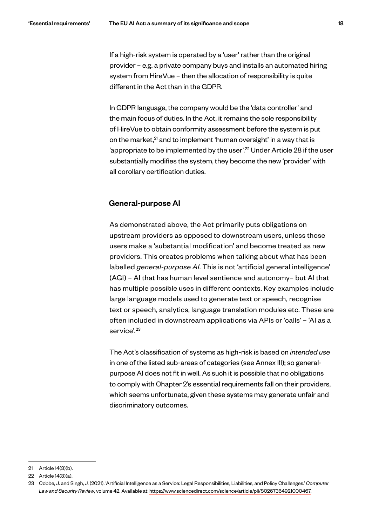If a high-risk system is operated by a 'user' rather than the original provider – e.g. a private company buys and installs an automated hiring system from HireVue – then the allocation of responsibility is quite different in the Act than in the GDPR.

In GDPR language, the company would be the 'data controller' and the main focus of duties. In the Act, it remains the sole responsibility of HireVue to obtain conformity assessment before the system is put on the market, $2<sup>1</sup>$  and to implement 'human oversight' in a way that is 'appropriate to be implemented by the user'.<sup>22</sup> Under Article 28 if the user substantially modifies the system, they become the new 'provider' with all corollary certification duties.

#### General-purpose AI

As demonstrated above, the Act primarily puts obligations on upstream providers as opposed to downstream users, unless those users make a 'substantial modification' and become treated as new providers. This creates problems when talking about what has been labelled *general-purpose AI*. This is not 'artificial general intelligence' (AGI) – AI that has human level sentience and autonomy– but AI that has multiple possible uses in different contexts. Key examples include large language models used to generate text or speech, recognise text or speech, analytics, language translation modules etc. These are often included in downstream applications via APIs or 'calls' – 'AI as a service'.<sup>23</sup>

The Act's classification of systems as high-risk is based on *intended use*  in one of the listed sub-areas of categories (see Annex III); so generalpurpose AI does not fit in well. As such it is possible that no obligations to comply with Chapter 2's essential requirements fall on their providers, which seems unfortunate, given these systems may generate unfair and discriminatory outcomes.

<sup>21</sup> Article 14(3)(b).

<sup>22</sup> Article 14(3)(a).

<sup>23</sup> Cobbe, J. and Singh, J. (2021). 'Artificial Intelligence as a Service: Legal Responsibilities, Liabilities, and Policy Challenges.' *Computer Law and Security Review*, volume 42. Available at: https://www.sciencedirect.com/science/article/pii/S0267364921000467.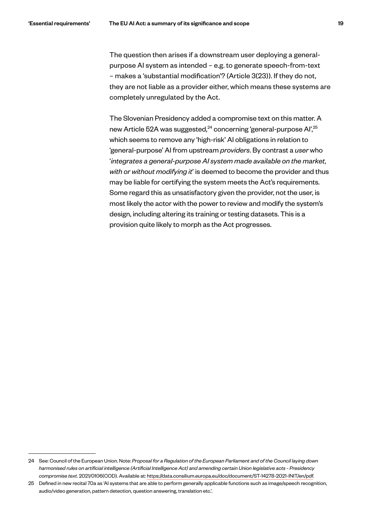The question then arises if a downstream user deploying a generalpurpose AI system as intended – e.g. to generate speech-from-text – makes a 'substantial modification'? (Article 3(23)). If they do not, they are not liable as a provider either, which means these systems are completely unregulated by the Act.

The Slovenian Presidency added a compromise text on this matter. A new Article 52A was suggested,<sup>24</sup> concerning 'general-purpose AI',<sup>25</sup> which seems to remove any 'high-risk' AI obligations in relation to 'general-purpose' AI from upstream *providers*. By contrast a *user* who '*integrates a general-purpose AI system made available on the market, with or without modifying it*' is deemed to become the provider and thus may be liable for certifying the system meets the Act's requirements. Some regard this as unsatisfactory given the provider, not the user, is most likely the actor with the power to review and modify the system's design, including altering its training or testing datasets. This is a provision quite likely to morph as the Act progresses.

<sup>24</sup> See: Council of the European Union. Note: *Proposal for a Regulation of the European Parliament and of the Council laying down harmonised rules on artificial intelligence (Artificial Intelligence Act) and amending certain Union legislative acts - Presidency compromise text*. 2021/0106(COD). Available at: https://data.consilium.europa.eu/doc/document/ST-14278-2021-INIT/en/pdf.

<sup>25</sup> Defined in new recital 70a as 'AI systems that are able to perform generally applicable functions such as image/speech recognition, audio/video generation, pattern detection, question answering, translation etc.'.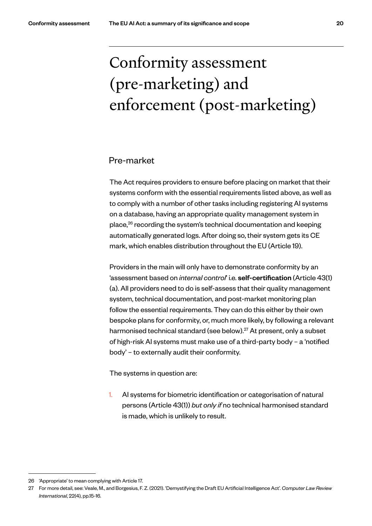# Conformity assessment (pre-marketing) and enforcement (post-marketing)

#### Pre-market

The Act requires providers to ensure before placing on market that their systems conform with the essential requirements listed above, as well as to comply with a number of other tasks including registering AI systems on a database, having an appropriate quality management system in place,<sup>26</sup> recording the system's technical documentation and keeping automatically generated logs. After doing so, their system gets its CE mark, which enables distribution throughout the EU (Article 19).

Providers in the main will only have to demonstrate conformity by an 'assessment based on *internal control*' i.e. self-certification (Article 43(1) (a). All providers need to do is self-assess that their quality management system, technical documentation, and post-market monitoring plan follow the essential requirements. They can do this either by their own bespoke plans for conformity, or, much more likely, by following a relevant harmonised technical standard (see below).<sup>27</sup> At present, only a subset of high-risk AI systems must make use of a third-party body – a 'notified body' – to externally audit their conformity.

The systems in question are:

1. AI systems for biometric identification or categorisation of natural persons (Article 43(1)) *but only if* no technical harmonised standard is made, which is unlikely to result.

<sup>26</sup> 'Appropriate' to mean complying with Article 17.

<sup>27</sup> For more detail, see: Veale, M., and Borgesius, F. Z. (2021). 'Demystifying the Draft EU Artificial Intelligence Act'. *Computer Law Review International*, 22(4), pp.15-16.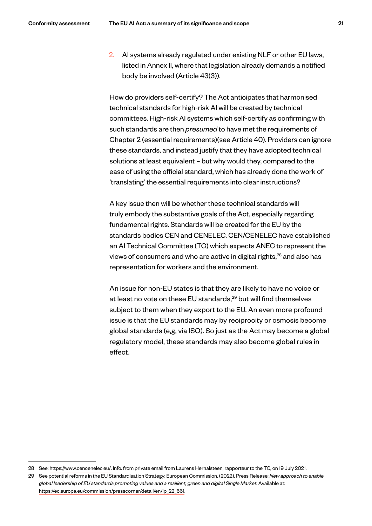2. AI systems already regulated under existing NLF or other EU laws, listed in Annex II, where that legislation already demands a notified body be involved (Article 43(3)).

How do providers self-certify? The Act anticipates that harmonised technical standards for high-risk AI will be created by technical committees. High-risk AI systems which self-certify as confirming with such standards are then *presumed* to have met the requirements of Chapter 2 (essential requirements)(see Article 40). Providers can ignore these standards, and instead justify that they have adopted technical solutions at least equivalent – but why would they, compared to the ease of using the official standard, which has already done the work of 'translating' the essential requirements into clear instructions?

A key issue then will be whether these technical standards will truly embody the substantive goals of the Act, especially regarding fundamental rights. Standards will be created for the EU by the standards bodies CEN and CENELEC. CEN/CENELEC have established an AI Technical Committee (TC) which expects ANEC to represent the views of consumers and who are active in digital rights,<sup>28</sup> and also has representation for workers and the environment.

An issue for non-EU states is that they are likely to have no voice or at least no vote on these EU standards,<sup>29</sup> but will find themselves subject to them when they export to the EU. An even more profound issue is that the EU standards may by reciprocity or osmosis become global standards (e,g, via ISO). So just as the Act may become a global regulatory model, these standards may also become global rules in effect.

<sup>28</sup> See: https://www.cencenelec.eu/. Info. from private email from Laurens Hernalsteen, rapporteur to the TC, on 19 July 2021.

<sup>29</sup> See potential reforms in the EU Standardisation Strategy: European Commission. (2022). Press Release: *New approach to enable global leadership of EU standards promoting values and a resilient, green and digital Single Market*. Available at: https://ec.europa.eu/commission/presscorner/detail/en/ip\_22\_661.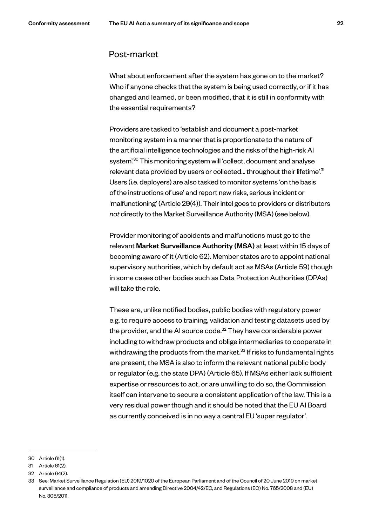#### Post-market

What about enforcement after the system has gone on to the market? Who if anyone checks that the system is being used correctly, or if it has changed and learned, or been modified, that it is still in conformity with the essential requirements?

Providers are tasked to 'establish and document a post-market monitoring system in a manner that is proportionate to the nature of the artificial intelligence technologies and the risks of the high-risk AI system<sup>'.30</sup> This monitoring system will 'collect, document and analyse relevant data provided by users or collected... throughout their lifetime'.<sup>31</sup> Users (i.e. deployers) are also tasked to monitor systems 'on the basis of the instructions of use' and report new risks, serious incident or 'malfunctioning' (Article 29(4)). Their intel goes to providers or distributors *not* directly to the Market Surveillance Authority (MSA) (see below).

Provider monitoring of accidents and malfunctions must go to the relevant Market Surveillance Authority (MSA) at least within 15 days of becoming aware of it (Article 62). Member states are to appoint national supervisory authorities, which by default act as MSAs (Article 59) though in some cases other bodies such as Data Protection Authorities (DPAs) will take the role.

These are, unlike notified bodies, public bodies with regulatory power e.g. to require access to training, validation and testing datasets used by the provider, and the AI source code.<sup>32</sup> They have considerable power including to withdraw products and oblige intermediaries to cooperate in withdrawing the products from the market.<sup>33</sup> If risks to fundamental rights are present, the MSA is also to inform the relevant national public body or regulator (e.g. the state DPA) (Article 65). If MSAs either lack sufficient expertise or resources to act, or are unwilling to do so, the Commission itself can intervene to secure a consistent application of the law. This is a very residual power though and it should be noted that the EU AI Board as currently conceived is in no way a central EU 'super regulator'.

<sup>30</sup> Article 61(1).

<sup>31</sup> Article 61(2).

<sup>32</sup> Article 64(2).

<sup>33</sup> See: Market Surveillance Regulation (EU) 2019/1020 of the European Parliament and of the Council of 20 June 2019 on market surveillance and compliance of products and amending Directive 2004/42/EC, and Regulations (EC) No. 765/2008 and (EU) No. 305/2011.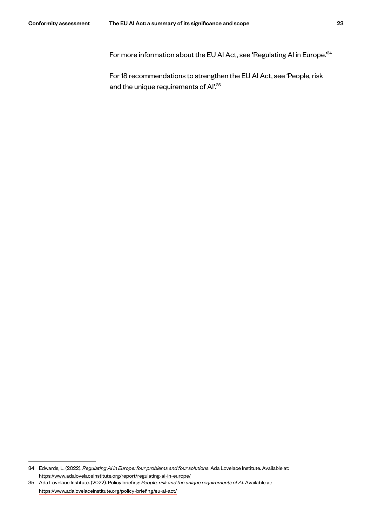For more information about the EU AI Act, see 'Regulating AI in Europe.<sup>'34</sup>

For 18 recommendations to strengthen the EU AI Act, see 'People, risk and the unique requirements of Al'.<sup>35</sup>

<sup>34</sup> Edwards, L. (2022). *Regulating AI in Europe: four problems and four solutions*. Ada Lovelace Institute. Available at: https://www.adalovelaceinstitute.org/report/regulating-ai-in-europe/

<sup>35</sup> Ada Lovelace Institute. (2022). Policy briefing: *People, risk and the unique requirements of AI*. Available at: https://www.adalovelaceinstitute.org/policy-briefing/eu-ai-act/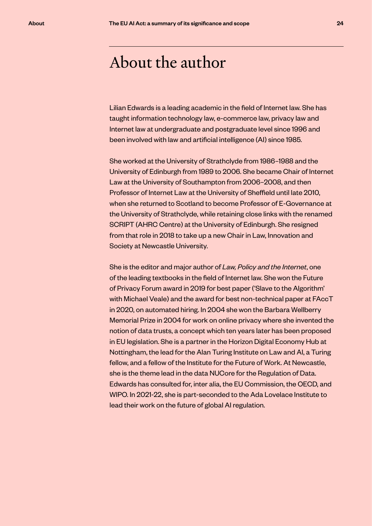### About the author

Lilian Edwards is a leading academic in the field of Internet law. She has taught information technology law, e-commerce law, privacy law and Internet law at undergraduate and postgraduate level since 1996 and been involved with law and artificial intelligence (AI) since 1985.

She worked at the University of Strathclyde from 1986–1988 and the University of Edinburgh from 1989 to 2006. She became Chair of Internet Law at the University of Southampton from 2006–2008, and then Professor of Internet Law at the University of Sheffield until late 2010, when she returned to Scotland to become Professor of E-Governance at the University of Strathclyde, while retaining close links with the renamed SCRIPT (AHRC Centre) at the University of Edinburgh. She resigned from that role in 2018 to take up a new Chair in Law, Innovation and Society at Newcastle University.

She is the editor and major author of *Law, Policy and the Internet*, one of the leading textbooks in the field of Internet law. She won the Future of Privacy Forum award in 2019 for best paper ('Slave to the Algorithm' with Michael Veale) and the award for best non-technical paper at FAccT in 2020, on automated hiring. In 2004 she won the Barbara Wellberry Memorial Prize in 2004 for work on online privacy where she invented the notion of data trusts, a concept which ten years later has been proposed in EU legislation. She is a partner in the Horizon Digital Economy Hub at Nottingham, the lead for the Alan Turing Institute on Law and AI, a Turing fellow, and a fellow of the Institute for the Future of Work. At Newcastle, she is the theme lead in the data NUCore for the Regulation of Data. Edwards has consulted for, inter alia, the EU Commission, the OECD, and WIPO. In 2021-22, she is part-seconded to the Ada Lovelace Institute to lead their work on the future of global AI regulation.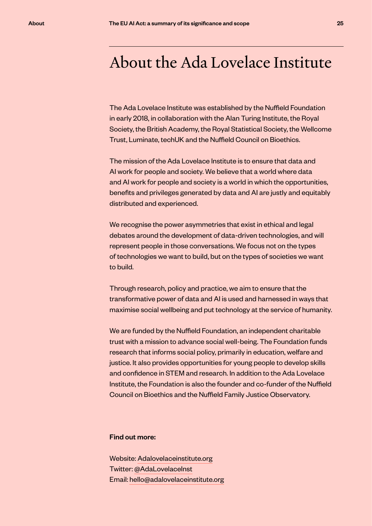### About the Ada Lovelace Institute

The Ada Lovelace Institute was established by the Nuffield Foundation in early 2018, in collaboration with the Alan Turing Institute, the Royal Society, the British Academy, the Royal Statistical Society, the Wellcome Trust, Luminate, techUK and the Nuffield Council on Bioethics.

The mission of the Ada Lovelace Institute is to ensure that data and AI work for people and society. We believe that a world where data and AI work for people and society is a world in which the opportunities, benefits and privileges generated by data and AI are justly and equitably distributed and experienced.

We recognise the power asymmetries that exist in ethical and legal debates around the development of data-driven technologies, and will represent people in those conversations. We focus not on the types of technologies we want to build, but on the types of societies we want to build.

Through research, policy and practice, we aim to ensure that the transformative power of data and AI is used and harnessed in ways that maximise social wellbeing and put technology at the service of humanity.

We are funded by the Nuffield Foundation, an independent charitable trust with a mission to advance social well-being. The Foundation funds research that informs social policy, primarily in education, welfare and justice. It also provides opportunities for young people to develop skills and confidence in STEM and research. In addition to the Ada Lovelace Institute, the Foundation is also the founder and co-funder of the Nuffield Council on Bioethics and the Nuffield Family Justice Observatory.

#### Find out more:

Website: Adalovelaceinstitute.org Twitter: @AdaLovelaceInst Email: hello@adalovelaceinstitute.org